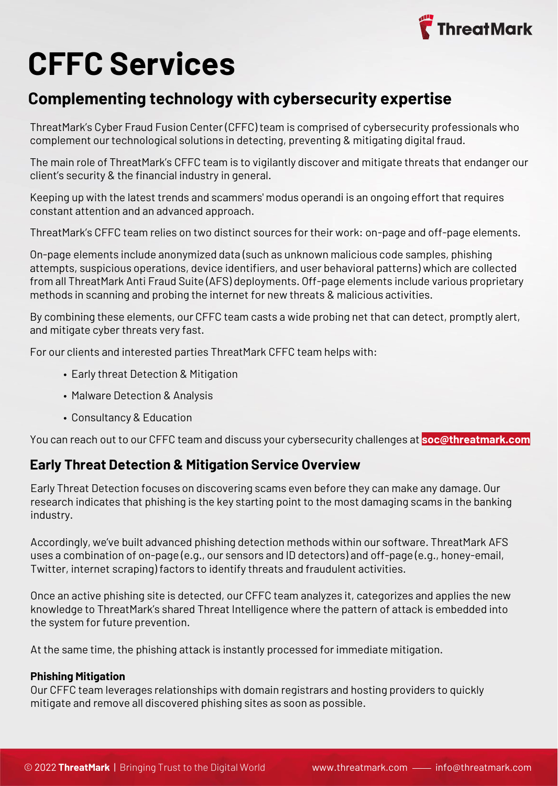

# **CFFC Services**

# **Complementing technology with cybersecurity expertise**

ThreatMark's Cyber Fraud Fusion Center (CFFC) team is comprised of cybersecurity professionals who complement our technological solutions in detecting, preventing & mitigating digital fraud.

The main role of ThreatMark's CFFC team is to vigilantly discover and mitigate threats that endanger our client's security & the financial industry in general.

Keeping up with the latest trends and scammers' modus operandi is an ongoing effort that requires constant attention and an advanced approach.

ThreatMark's CFFC team relies on two distinct sources for their work: on-page and off-page elements.

On-page elements include anonymized data (such as unknown malicious code samples, phishing attempts, suspicious operations, device identifiers, and user behavioral patterns) which are collected from all ThreatMark Anti Fraud Suite (AFS) deployments. Off-page elements include various proprietary methods in scanning and probing the internet for new threats & malicious activities.

By combining these elements, our CFFC team casts a wide probing net that can detect, promptly alert, and mitigate cyber threats very fast.

For our clients and interested parties ThreatMark CFFC team helps with:

- Early threat Detection & Mitigation
- Malware Detection & Analysis
- Consultancy & Education

You can reach out to our CFFC team and discuss your cybersecurity challenges at **soc@threatmark.com**

# **Early Threat Detection & Mitigation Service Overview**

Early Threat Detection focuses on discovering scams even before they can make any damage. Our research indicates that phishing is the key starting point to the most damaging scams in the banking industry.

Accordingly, we've built advanced phishing detection methods within our software. ThreatMark AFS uses a combination of on-page (e.g., our sensors and ID detectors) and off-page (e.g., honey-email, Twitter, internet scraping) factors to identify threats and fraudulent activities.

Once an active phishing site is detected, our CFFC team analyzes it, categorizes and applies the new knowledge to ThreatMark's shared Threat Intelligence where the pattern of attack is embedded into the system for future prevention.

At the same time, the phishing attack is instantly processed for immediate mitigation.

#### **Phishing Mitigation**

Our CFFC team leverages relationships with domain registrars and hosting providers to quickly mitigate and remove all discovered phishing sites as soon as possible.